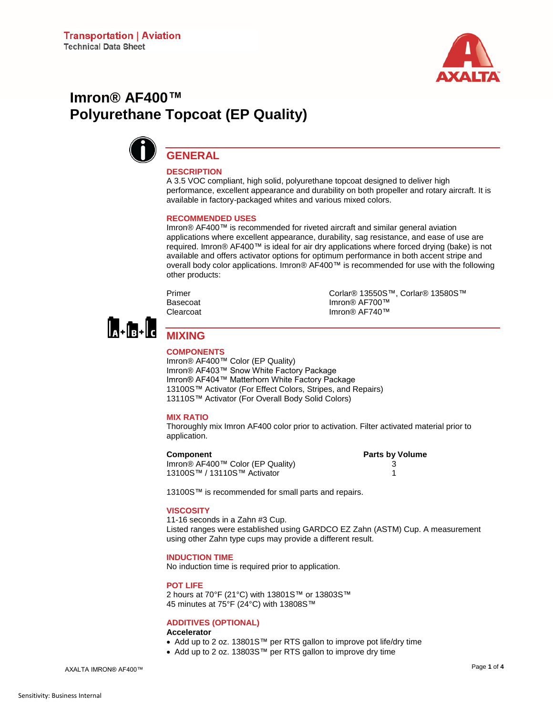

# **Imron® AF400™ Polyurethane Topcoat (EP Quality)**



# **GENERAL**

# **DESCRIPTION**

A 3.5 VOC compliant, high solid, polyurethane topcoat designed to deliver high performance, excellent appearance and durability on both propeller and rotary aircraft. It is available in factory-packaged whites and various mixed colors.

### **RECOMMENDED USES**

Imron® AF400™ is recommended for riveted aircraft and similar general aviation applications where excellent appearance, durability, sag resistance, and ease of use are required. Imron® AF400™ is ideal for air dry applications where forced drying (bake) is not available and offers activator options for optimum performance in both accent stripe and overall body color applications. Imron® AF400™ is recommended for use with the following other products:

Primer Corlar® 13550S™, Corlar® 13580S™ Basecoat Imron® AF700™ Clearcoat Imron® AF740™

 $\left|_{A^+}\right|_{B^+}\right|_C$ 

# **MIXING**

# **COMPONENTS**

Imron® AF400™ Color (EP Quality) Imron® AF403™ Snow White Factory Package Imron® AF404™ Matterhorn White Factory Package 13100S™ Activator (For Effect Colors, Stripes, and Repairs) 13110S™ Activator (For Overall Body Solid Colors)

# **MIX RATIO**

Thoroughly mix Imron AF400 color prior to activation. Filter activated material prior to application.

# **Component Component Component Component Component Component Component Component Component Component Component Component Component Component Component Component Component Component Component Component Component Component C**

Imron® AF400™ Color (EP Quality) 3 13100S™ / 13110S™ Activator 1

13100S™ is recommended for small parts and repairs.

### **VISCOSITY**

11-16 seconds in a Zahn #3 Cup. Listed ranges were established using GARDCO EZ Zahn (ASTM) Cup. A measurement using other Zahn type cups may provide a different result.

# **INDUCTION TIME**

No induction time is required prior to application.

### **POT LIFE**

2 hours at 70°F (21°C) with 13801S™ or 13803S™ 45 minutes at 75°F (24°C) with 13808S™

# **ADDITIVES (OPTIONAL)**

## **Accelerator**

- Add up to 2 oz. 13801S™ per RTS gallon to improve pot life/dry time
- Add up to 2 oz. 13803S™ per RTS gallon to improve dry time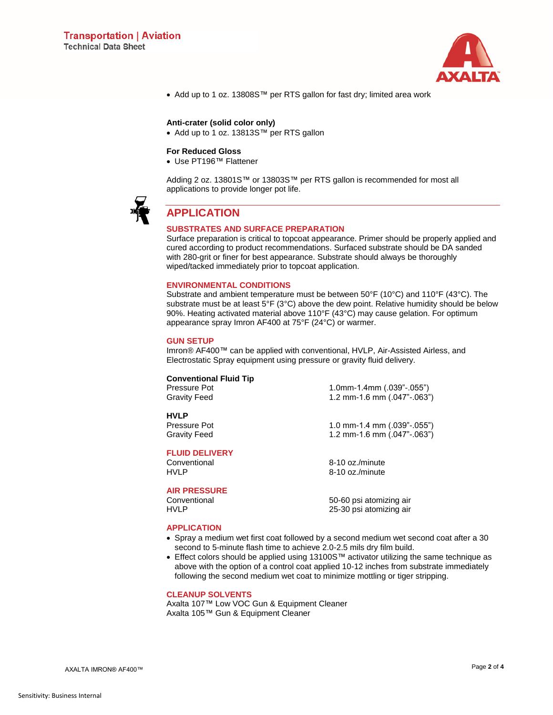• Add up to 1 oz. 13808S™ per RTS gallon for fast dry; limited area work

#### **Anti-crater (solid color only)**

• Add up to 1 oz. 13813S™ per RTS gallon

### **For Reduced Gloss**

• Use PT196™ Flattener

Adding 2 oz. 13801S™ or 13803S™ per RTS gallon is recommended for most all applications to provide longer pot life.



# **APPLICATION**

### **SUBSTRATES AND SURFACE PREPARATION**

Surface preparation is critical to topcoat appearance. Primer should be properly applied and cured according to product recommendations. Surfaced substrate should be DA sanded with 280-grit or finer for best appearance. Substrate should always be thoroughly wiped/tacked immediately prior to topcoat application.

### **ENVIRONMENTAL CONDITIONS**

Substrate and ambient temperature must be between 50°F (10°C) and 110°F (43°C). The substrate must be at least  $5^{\circ}F(3^{\circ}C)$  above the dew point. Relative humidity should be below 90%. Heating activated material above 110°F (43°C) may cause gelation. For optimum appearance spray Imron AF400 at 75°F (24°C) or warmer.

#### **GUN SETUP**

Imron® AF400™ can be applied with conventional, HVLP, Air-Assisted Airless, and Electrostatic Spray equipment using pressure or gravity fluid delivery.

# **Conventional Fluid Tip**

## **HVLP**

# **FLUID DELIVERY**

Conventional 8-10 oz./minute HVLP 8-10 oz./minute

### **AIR PRESSURE**

Pressure Pot 1.0mm-1.4mm (.039"-.055") Gravity Feed 1.2 mm-1.6 mm (.047"-.063")

Pressure Pot 1.0 mm-1.4 mm (.039"-.055") Gravity Feed 1.2 mm-1.6 mm (.047"-.063")

Conventional 50-60 psi atomizing air HVLP 25-30 psi atomizing air

### **APPLICATION**

- Spray a medium wet first coat followed by a second medium wet second coat after a 30 second to 5-minute flash time to achieve 2.0-2.5 mils dry film build.
- Effect colors should be applied using 13100S™ activator utilizing the same technique as above with the option of a control coat applied 10-12 inches from substrate immediately following the second medium wet coat to minimize mottling or tiger stripping.

#### **CLEANUP SOLVENTS**

Axalta 107™ Low VOC Gun & Equipment Cleaner Axalta 105™ Gun & Equipment Cleaner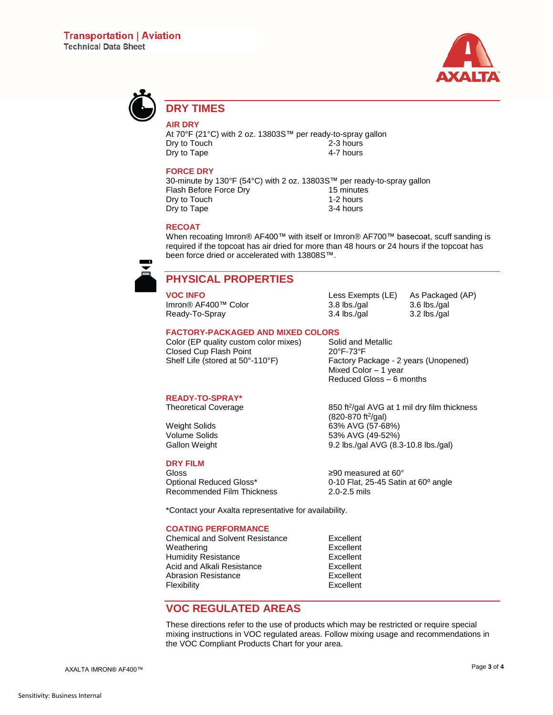



# **DRY TIMES**

**AIR DRY**

At 70°F (21°C) with 2 oz. 13803S™ per ready-to-spray gallon<br>Drv to Touch 2 - 2-3 hours Dry to Touch Dry to Tape **4-7** hours

### **FORCE DRY**

30-minute by 130°F (54°C) with 2 oz. 13803S™ per ready-to-spray gallon Flash Before Force Dry 15 minutes<br>
Dry to Touch 1-2 hours Dry to Touch the control of the control of the 1-2 hours<br>1-2 hours 1-2 hours 1-2 hours Dry to Tape

### **RECOAT**

When recoating Imron® AF400™ with itself or Imron® AF700™ basecoat, scuff sanding is required if the topcoat has air dried for more than 48 hours or 24 hours if the topcoat has been force dried or accelerated with 13808S™.



# **PHYSICAL PROPERTIES**

**VOC INFO** Less Exempts (LE) As Packaged (AP) Imron® AF400™ Color 3.8 lbs./gal 3.6 lbs./gal Ready-To-Spray 3.4 lbs./gal 3.2 lbs./gal

# **FACTORY-PACKAGED AND MIXED COLORS**

Color (EP quality custom color mixes) Closed Cup Flash Point 20°F-73°F

Shelf Life (stored at 50°-110°F) Factory Package - 2 years (Unopened) Mixed Color – 1 year Reduced Gloss – 6 months

### **READY-TO-SPRAY\***

Theoretical Coverage

## **DRY FILM**

Gloss ≥90 measured at 60° Recommended Film Thickness 2.0-2.5 mils

850 ft<sup>2</sup>/gal AVG at 1 mil dry film thickness  $(820-870 ft^2/gal)$ Weight Solids 63% AVG (57-68%) Volume Solids 63% AVG (49-52%) Gallon Weight 6.2 lbs./gal AVG (8.3-10.8 lbs./gal)

 $0-10$  Flat, 25-45 Satin at  $60^\circ$  angle

\*Contact your Axalta representative for availability.

## **COATING PERFORMANCE**

Chemical and Solvent Resistance **Excellent**<br>Weathering **Excellent** Weathering<br>
Humidity Resistance<br>
Humidity Resistance<br>
Excellent Humidity Resistance **Excellent**<br>Acid and Alkali Resistance **Accellent** Excellent Acid and Alkali Resistance **Excellent**<br>Abrasion Resistance **Excellent** Abrasion Resistance Flexibility Excellent

# **VOC REGULATED AREAS**

These directions refer to the use of products which may be restricted or require special mixing instructions in VOC regulated areas. Follow mixing usage and recommendations in the VOC Compliant Products Chart for your area.